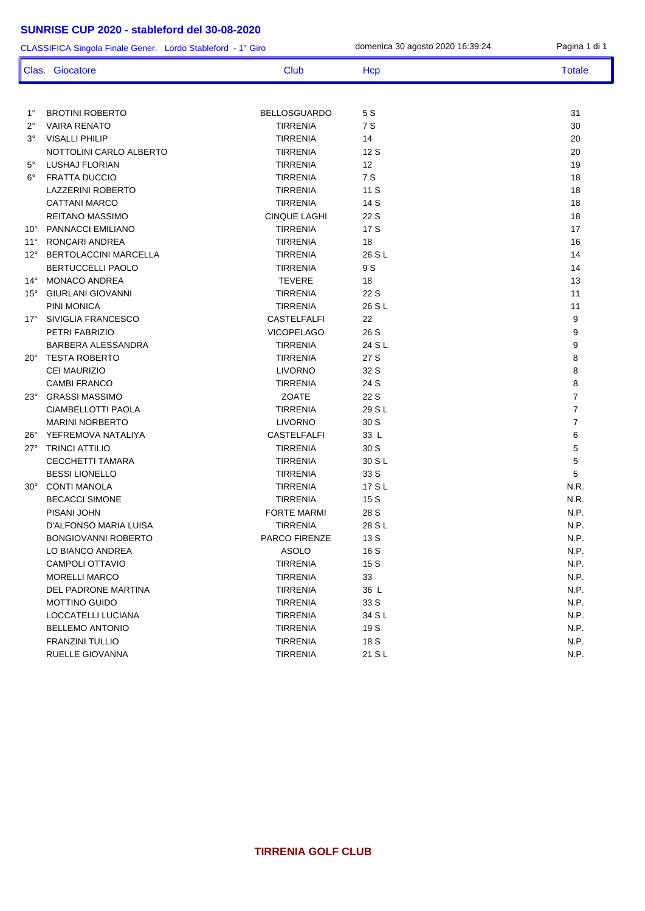| CLASSIFICA Singola Finale Gener. Lordo Stableford - 1° Giro |                              |                     | domenica 30 agosto 2020 16:39:24 | Pagina 1 di 1  |
|-------------------------------------------------------------|------------------------------|---------------------|----------------------------------|----------------|
|                                                             | Clas. Giocatore              | <b>Club</b>         | Hcp                              | <b>Totale</b>  |
|                                                             |                              |                     |                                  |                |
| $1^{\circ}$                                                 | <b>BROTINI ROBERTO</b>       | <b>BELLOSGUARDO</b> | 5 S                              | 31             |
| 2°                                                          | <b>VAIRA RENATO</b>          | <b>TIRRENIA</b>     | 7 S                              | 30             |
| 3°                                                          | <b>VISALLI PHILIP</b>        | <b>TIRRENIA</b>     | 14                               | 20             |
|                                                             | NOTTOLINI CARLO ALBERTO      | <b>TIRRENIA</b>     | 12 S                             | 20             |
| 5°                                                          | LUSHAJ FLORIAN               | <b>TIRRENIA</b>     | 12                               | 19             |
| $6^{\circ}$                                                 | <b>FRATTA DUCCIO</b>         | <b>TIRRENIA</b>     | 7 S                              | 18             |
|                                                             | LAZZERINI ROBERTO            | <b>TIRRENIA</b>     | 11 S                             | 18             |
|                                                             | <b>CATTANI MARCO</b>         | <b>TIRRENIA</b>     | 14 S                             | 18             |
|                                                             | <b>REITANO MASSIMO</b>       | <b>CINQUE LAGHI</b> | 22 S                             | 18             |
| $10^{\circ}$                                                | PANNACCI EMILIANO            | <b>TIRRENIA</b>     | 17 S                             | 17             |
| $11^{\circ}$                                                | RONCARI ANDREA               | <b>TIRRENIA</b>     | 18                               | 16             |
| $12^{\circ}$                                                | <b>BERTOLACCINI MARCELLA</b> | <b>TIRRENIA</b>     | 26 S L                           | 14             |
|                                                             | <b>BERTUCCELLI PAOLO</b>     | <b>TIRRENIA</b>     | 9 S                              | 14             |
| $14^{\circ}$                                                | <b>MONACO ANDREA</b>         | <b>TEVERE</b>       | 18                               | 13             |
| $15^{\circ}$                                                | <b>GIURLANI GIOVANNI</b>     | <b>TIRRENIA</b>     | 22 S                             | 11             |
|                                                             | PINI MONICA                  | <b>TIRRENIA</b>     | 26 S L                           | 11             |
| $17^{\circ}$                                                | SIVIGLIA FRANCESCO           | <b>CASTELFALFI</b>  | 22                               | 9              |
|                                                             | PETRI FABRIZIO               | <b>VICOPELAGO</b>   | 26 S                             | 9              |
|                                                             | BARBERA ALESSANDRA           | <b>TIRRENIA</b>     | 24 S L                           | 9              |
|                                                             | 20° TESTA ROBERTO            | <b>TIRRENIA</b>     | 27 S                             | 8              |
|                                                             | <b>CEI MAURIZIO</b>          | <b>LIVORNO</b>      | 32 S                             | 8              |
|                                                             | <b>CAMBI FRANCO</b>          | <b>TIRRENIA</b>     | 24 S                             | 8              |
| $23^\circ$                                                  | <b>GRASSI MASSIMO</b>        | <b>ZOATE</b>        | 22 S                             | $\overline{7}$ |
|                                                             | CIAMBELLOTTI PAOLA           | <b>TIRRENIA</b>     | 29 S L                           | $\overline{7}$ |
|                                                             | <b>MARINI NORBERTO</b>       | <b>LIVORNO</b>      | 30 S                             | $\overline{7}$ |
| $26^{\circ}$                                                | YEFREMOVA NATALIYA           | <b>CASTELFALFI</b>  | 33 L                             | 6              |
| $27^\circ$                                                  | <b>TRINCI ATTILIO</b>        | <b>TIRRENIA</b>     | 30 S                             | 5              |
|                                                             | <b>CECCHETTI TAMARA</b>      | <b>TIRRENIA</b>     | 30 S L                           | 5              |
|                                                             | <b>BESSI LIONELLO</b>        | <b>TIRRENIA</b>     | 33 S                             | 5              |
| $30^{\circ}$                                                | <b>CONTI MANOLA</b>          | <b>TIRRENIA</b>     | 17 S L                           | N.R.           |
|                                                             | <b>BECACCI SIMONE</b>        | <b>TIRRENIA</b>     | 15 S                             | N.R.           |
|                                                             | PISANI JOHN                  | <b>FORTE MARMI</b>  | 28 S                             | N.P.           |
|                                                             | D'ALFONSO MARIA LUISA        | <b>TIRRENIA</b>     | 28 S L                           | N.P.           |
|                                                             | <b>BONGIOVANNI ROBERTO</b>   | PARCO FIRENZE       | 13 S                             | N.P.           |
|                                                             | LO BIANCO ANDREA             | ASOLO               | 16 S                             | N.P.           |
|                                                             | CAMPOLI OTTAVIO              | <b>TIRRENIA</b>     | 15 S                             | N.P.           |
|                                                             | <b>MORELLI MARCO</b>         | <b>TIRRENIA</b>     | 33                               | N.P.           |
|                                                             | DEL PADRONE MARTINA          | <b>TIRRENIA</b>     | 36 L                             | N.P.           |
|                                                             | <b>MOTTINO GUIDO</b>         | <b>TIRRENIA</b>     | 33 S                             | N.P.           |
|                                                             | LOCCATELLI LUCIANA           | <b>TIRRENIA</b>     | 34 S L                           | N.P.           |
|                                                             | <b>BELLEMO ANTONIO</b>       | <b>TIRRENIA</b>     | 19 S                             | N.P.           |
|                                                             | FRANZINI TULLIO              | <b>TIRRENIA</b>     | 18 S                             | N.P.           |
|                                                             | RUELLE GIOVANNA              | <b>TIRRENIA</b>     | 21 S L                           | N.P.           |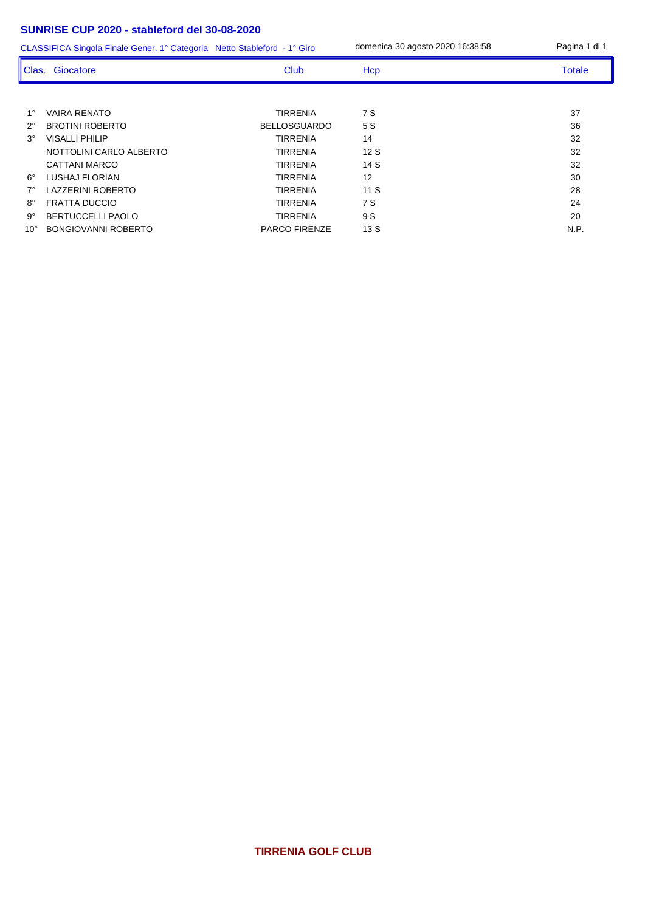1° VAIRA RENATO TIRRENIA 7 S 37 2° BROTINI ROBERTO BELLOSGUARDO 5 S 3º VISALLI PHILIP 32 NOTTOLINI CARLO ALBERTO TIRRENIA 12 S 32 CATTANI MARCO **TIRRENIA** 14 S 32 6° LUSHAJ FLORIAN TIRRENIA 12 30 7° LAZZERINI ROBERTO TIRRENIA 11 S 28 8° FRATTA DUCCIO TIRRENIA 7 S 24 9° BERTUCCELLI PAOLO TIRRENIA 9 S 20 10° BONGIOVANNI ROBERTO PARCO FIRENZE 13 S N.P. CLASSIFICA Singola Finale Gener. 1° Categoria Netto Stableford - 1° Giro domenica 30 agosto 2020 16:38:58 Pagina 1 di 1 Clas. Giocatore Club Club Hcp Totale Totale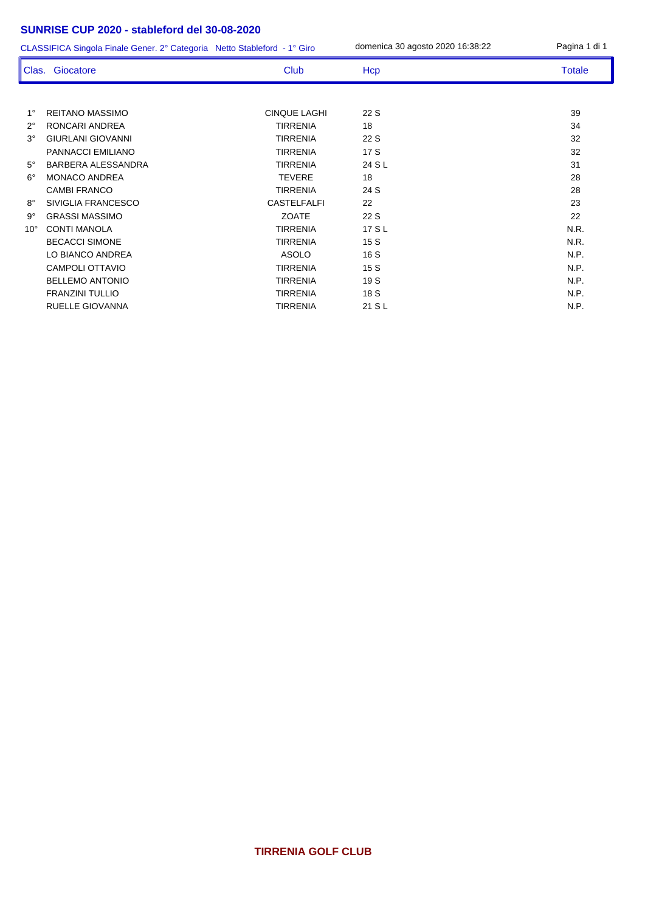CLASSIFICA Singola Finale Gener. 2° Categoria Netto Stableford - 1° Giro domenica 30 agosto 2020 16:38:22 Pagina 1 di 1

|              | Clas. Giocatore           | Club                | Hcp    | <b>Totale</b> |
|--------------|---------------------------|---------------------|--------|---------------|
|              |                           |                     |        |               |
| $1^{\circ}$  | <b>REITANO MASSIMO</b>    | <b>CINQUE LAGHI</b> | 22 S   | 39            |
| $2^{\circ}$  | RONCARI ANDREA            | <b>TIRRENIA</b>     | 18     | 34            |
| $3^\circ$    | <b>GIURLANI GIOVANNI</b>  | <b>TIRRENIA</b>     | 22 S   | 32            |
|              | PANNACCI EMILIANO         | <b>TIRRENIA</b>     | 17S    | 32            |
| $5^\circ$    | <b>BARBERA ALESSANDRA</b> | <b>TIRRENIA</b>     | 24 S L | 31            |
| $6^\circ$    | <b>MONACO ANDREA</b>      | <b>TEVERE</b>       | 18     | 28            |
|              | <b>CAMBI FRANCO</b>       | <b>TIRRENIA</b>     | 24 S   | 28            |
| $8^{\circ}$  | SIVIGLIA FRANCESCO        | <b>CASTELFALFI</b>  | 22     | 23            |
| $9^{\circ}$  | <b>GRASSI MASSIMO</b>     | <b>ZOATE</b>        | 22 S   | 22            |
| $10^{\circ}$ | <b>CONTI MANOLA</b>       | <b>TIRRENIA</b>     | 17 S L | N.R.          |
|              | <b>BECACCI SIMONE</b>     | <b>TIRRENIA</b>     | 15S    | N.R.          |
|              | LO BIANCO ANDREA          | <b>ASOLO</b>        | 16 S   | N.P.          |
|              | CAMPOLI OTTAVIO           | <b>TIRRENIA</b>     | 15S    | N.P.          |
|              | <b>BELLEMO ANTONIO</b>    | <b>TIRRENIA</b>     | 19 S   | N.P.          |
|              | <b>FRANZINI TULLIO</b>    | <b>TIRRENIA</b>     | 18 S   | N.P.          |
|              | RUELLE GIOVANNA           | <b>TIRRENIA</b>     | 21 S L | N.P.          |